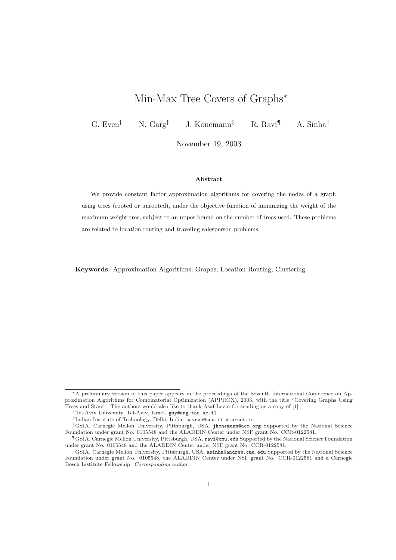# Min-Max Tree Covers of Graphs<sup>\*</sup>

G. Even<sup>†</sup> N. Garg<sup>‡</sup> J. Könemann<sup>§</sup> R. Ravi<sup>¶</sup> A. Sinha<sup>||</sup>

November 19, 2003

### Abstract

We provide constant factor approximation algorithms for covering the nodes of a graph using trees (rooted or unrooted), under the objective function of minimizing the weight of the maximum weight tree, subject to an upper bound on the number of trees used. These problems are related to location routing and traveling salesperson problems.

Keywords: Approximation Algorithms; Graphs; Location Routing; Clustering.

<sup>∗</sup>A preliminary version of this paper appears in the proceedings of the Seventh International Conference on Approximation Algorithms for Combinatorial Optimization (APPROX), 2003, with the title "Covering Graphs Using Trees and Stars". The authors would also like to thank Asaf Levin for sending us a copy of [1].

<sup>†</sup>Tel-Aviv University, Tel-Aviv, Israel. guy@eng.tau.ac.il

<sup>‡</sup> Indian Institute of Technology, Delhi, India. naveen@cse.iitd.ernet.in

<sup>§</sup>GSIA, Carnegie Mellon University, Pittsburgh, USA. jkonemann@acm.org Supported by the National Science Foundation under grant No. 0105548 and the ALADDIN Center under NSF grant No. CCR-0122581.

<sup>¶</sup>GSIA, Carnegie Mellon University, Pittsburgh, USA. ravi@cmu.edu Supported by the National Science Foundation under grant No. 0105548 and the ALADDIN Center under NSF grant No. CCR-0122581.

<sup>k</sup>GSIA, Carnegie Mellon University, Pittsburgh, USA. asinha@andrew.cmu.edu Supported by the National Science Foundation under grant No. 0105548, the ALADDIN Center under NSF grant No. CCR-0122581 and a Carnegie Bosch Institute Fellowship. Corresponding author.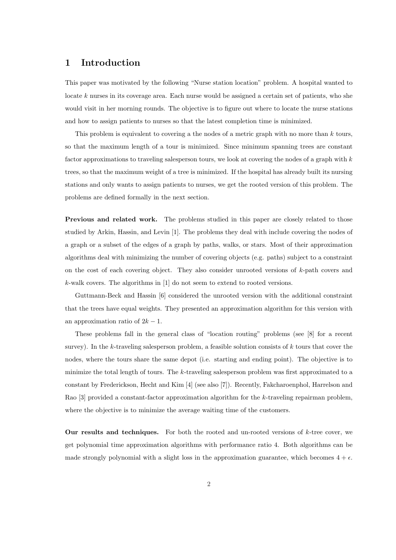### 1 Introduction

This paper was motivated by the following "Nurse station location" problem. A hospital wanted to locate  $k$  nurses in its coverage area. Each nurse would be assigned a certain set of patients, who she would visit in her morning rounds. The objective is to figure out where to locate the nurse stations and how to assign patients to nurses so that the latest completion time is minimized.

This problem is equivalent to covering a the nodes of a metric graph with no more than k tours, so that the maximum length of a tour is minimized. Since minimum spanning trees are constant factor approximations to traveling salesperson tours, we look at covering the nodes of a graph with k trees, so that the maximum weight of a tree is minimized. If the hospital has already built its nursing stations and only wants to assign patients to nurses, we get the rooted version of this problem. The problems are defined formally in the next section.

Previous and related work. The problems studied in this paper are closely related to those studied by Arkin, Hassin, and Levin [1]. The problems they deal with include covering the nodes of a graph or a subset of the edges of a graph by paths, walks, or stars. Most of their approximation algorithms deal with minimizing the number of covering objects (e.g. paths) subject to a constraint on the cost of each covering object. They also consider unrooted versions of  $k$ -path covers and k-walk covers. The algorithms in [1] do not seem to extend to rooted versions.

Guttmann-Beck and Hassin [6] considered the unrooted version with the additional constraint that the trees have equal weights. They presented an approximation algorithm for this version with an approximation ratio of  $2k - 1$ .

These problems fall in the general class of "location routing" problems (see [8] for a recent survey). In the  $k$ -traveling salesperson problem, a feasible solution consists of  $k$  tours that cover the nodes, where the tours share the same depot (i.e. starting and ending point). The objective is to minimize the total length of tours. The k-traveling salesperson problem was first approximated to a constant by Frederickson, Hecht and Kim [4] (see also [7]). Recently, Fakcharoenphol, Harrelson and Rao [3] provided a constant-factor approximation algorithm for the k-traveling repairman problem, where the objective is to minimize the average waiting time of the customers.

Our results and techniques. For both the rooted and un-rooted versions of  $k$ -tree cover, we get polynomial time approximation algorithms with performance ratio 4. Both algorithms can be made strongly polynomial with a slight loss in the approximation guarantee, which becomes  $4 + \epsilon$ .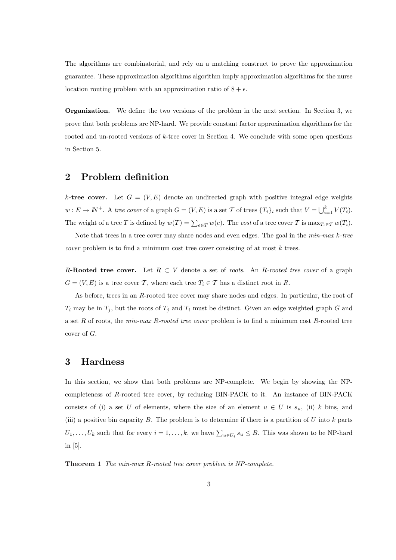The algorithms are combinatorial, and rely on a matching construct to prove the approximation guarantee. These approximation algorithms algorithm imply approximation algorithms for the nurse location routing problem with an approximation ratio of  $8 + \epsilon$ .

Organization. We define the two versions of the problem in the next section. In Section 3, we prove that both problems are NP-hard. We provide constant factor approximation algorithms for the rooted and un-rooted versions of k-tree cover in Section 4. We conclude with some open questions in Section 5.

## 2 Problem definition

k-tree cover. Let  $G = (V, E)$  denote an undirected graph with positive integral edge weights  $w: E \to \mathbb{N}^+$ . A tree cover of a graph  $G = (V, E)$  is a set  $\mathcal T$  of trees  $\{T_i\}_i$  such that  $V = \bigcup_{i=1}^k V(T_i)$ . The weight of a tree T is defined by  $w(T) = \sum_{e \in T} w(e)$ . The cost of a tree cover T is  $\max_{T_i \in T} w(T_i)$ .

Note that trees in a tree cover may share nodes and even edges. The goal in the  $min-max$  k-tree cover problem is to find a minimum cost tree cover consisting of at most k trees.

R-Rooted tree cover. Let  $R \subset V$  denote a set of roots. An R-rooted tree cover of a graph  $G = (V, E)$  is a tree cover T, where each tree  $T_i \in T$  has a distinct root in R.

As before, trees in an R-rooted tree cover may share nodes and edges. In particular, the root of  $T_i$  may be in  $T_j$ , but the roots of  $T_j$  and  $T_i$  must be distinct. Given an edge weighted graph G and a set R of roots, the  $min\text{-}max$  R-rooted tree cover problem is to find a minimum cost R-rooted tree cover of G.

## 3 Hardness

In this section, we show that both problems are NP-complete. We begin by showing the NPcompleteness of R-rooted tree cover, by reducing BIN-PACK to it. An instance of BIN-PACK consists of (i) a set U of elements, where the size of an element  $u \in U$  is  $s_u$ , (ii) k bins, and (iii) a positive bin capacity B. The problem is to determine if there is a partition of  $U$  into  $k$  parts  $U_1, \ldots, U_k$  such that for every  $i = 1, \ldots, k$ , we have  $\sum_{u \in U_i} s_u \leq B$ . This was shown to be NP-hard in [5].

Theorem 1 The min-max R-rooted tree cover problem is NP-complete.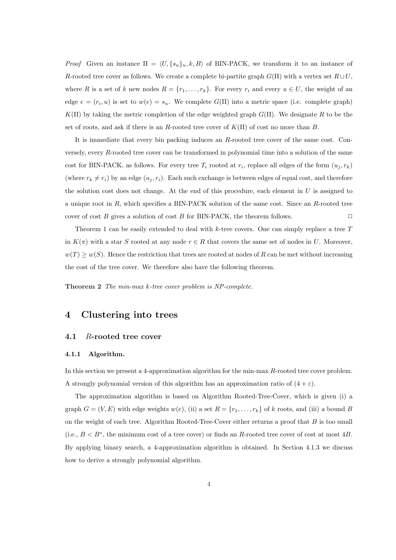*Proof* Given an instance  $\Pi = \langle U, \{s_u\}_u, k, B \rangle$  of BIN-PACK, we transform it to an instance of R-rooted tree cover as follows. We create a complete bi-partite graph  $G(\Pi)$  with a vertex set  $R\cup U$ , where R is a set of k new nodes  $R = \{r_1, \ldots, r_k\}$ . For every  $r_i$  and every  $u \in U$ , the weight of an edge  $e = (r_i, u)$  is set to  $w(e) = s_u$ . We complete  $G(\Pi)$  into a metric space (i.e. complete graph)  $K(\Pi)$  by taking the metric completion of the edge weighted graph  $G(\Pi)$ . We designate R to be the set of roots, and ask if there is an R-rooted tree cover of  $K(\Pi)$  of cost no more than B.

It is immediate that every bin packing induces an R-rooted tree cover of the same cost. Conversely, every R-rooted tree cover can be transformed in polynomial time into a solution of the same cost for BIN-PACK, as follows. For every tree  $T_i$  rooted at  $r_i$ , replace all edges of the form  $(u_j, r_k)$ (where  $r_k \neq r_i$ ) by an edge  $(u_j, r_i)$ . Each such exchange is between edges of equal cost, and therefore the solution cost does not change. At the end of this procedure, each element in  $U$  is assigned to a unique root in R, which specifies a BIN-PACK solution of the same cost. Since an R-rooted tree cover of cost B gives a solution of cost B for BIN-PACK, the theorem follows.  $\Box$ 

Theorem 1 can be easily extended to deal with  $k$ -tree covers. One can simply replace a tree  $T$ in  $K(\pi)$  with a star S rooted at any node  $r \in R$  that covers the same set of nodes in U. Moreover,  $w(T) \geq w(S)$ . Hence the restriction that trees are rooted at nodes of R can be met without increasing the cost of the tree cover. We therefore also have the following theorem.

Theorem 2 The min-max k-tree cover problem is NP-complete.

### 4 Clustering into trees

### 4.1 R-rooted tree cover

#### 4.1.1 Algorithm.

In this section we present a 4-approximation algorithm for the min-max R-rooted tree cover problem. A strongly polynomial version of this algorithm has an approximation ratio of  $(4 + \varepsilon)$ .

The approximation algorithm is based on Algorithm Rooted-Tree-Cover, which is given (i) a graph  $G = (V, E)$  with edge weights  $w(e)$ , (ii) a set  $R = \{r_1, \ldots, r_k\}$  of k roots, and (iii) a bound B on the weight of each tree. Algorithm Rooted-Tree-Cover either returns a proof that  $B$  is too small (i.e.,  $B < B^*$ , the minimum cost of a tree cover) or finds an R-rooted tree cover of cost at most 4B. By applying binary search, a 4-approximation algorithm is obtained. In Section 4.1.3 we discuss how to derive a strongly polynomial algorithm.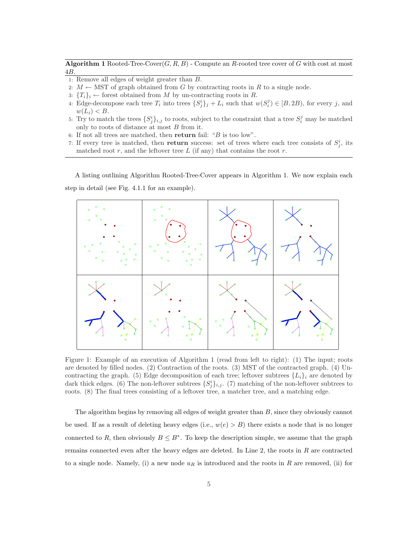Algorithm 1 Rooted-Tree-Cover $(G, R, B)$  - Compute an R-rooted tree cover of G with cost at most 4B.

- 1: Remove all edges of weight greater than B.
- 2:  $M \leftarrow \text{MST}$  of graph obtained from G by contracting roots in R to a single node.
- 3:  ${T_i}_i \leftarrow$  forest obtained from M by un-contracting roots in R.
- 4: Edge-decompose each tree  $T_i$  into trees  $\{S_j^i\}_j + L_i$  such that  $w(S_i^j) \in [B, 2B)$ , for every j, and  $w(L_i) < B$ .
- 5: Try to match the trees  $\{S_j^i\}_{i,j}$  to roots, subject to the constraint that a tree  $S_i^j$  may be matched only to roots of distance at most  $B$  from it.
- 6: If not all trees are matched, then return fail: "B is too low".
- 7: If every tree is matched, then return success: set of trees where each tree consists of  $S_j^i$ , its matched root  $r$ , and the leftover tree  $L$  (if any) that contains the root  $r$ .

A listing outlining Algorithm Rooted-Tree-Cover appears in Algorithm 1. We now explain each step in detail (see Fig. 4.1.1 for an example).



Figure 1: Example of an execution of Algorithm 1 (read from left to right): (1) The input; roots are denoted by filled nodes. (2) Contraction of the roots. (3) MST of the contracted graph. (4) Uncontracting the graph. (5) Edge decomposition of each tree; leftover subtrees  $\{L_i\}_i$  are denoted by dark thick edges. (6) The non-leftover subtrees  $\{S_j^i\}_{i,j}$ . (7) matching of the non-leftover subtrees to roots. (8) The final trees consisting of a leftover tree, a matcher tree, and a matching edge.

The algorithm begins by removing all edges of weight greater than B, since they obviously cannot be used. If as a result of deleting heavy edges (i.e.,  $w(e) > B$ ) there exists a node that is no longer connected to R, then obviously  $B \leq B^*$ . To keep the description simple, we assume that the graph remains connected even after the heavy edges are deleted. In Line 2, the roots in  $R$  are contracted to a single node. Namely, (i) a new node  $u_R$  is introduced and the roots in R are removed, (ii) for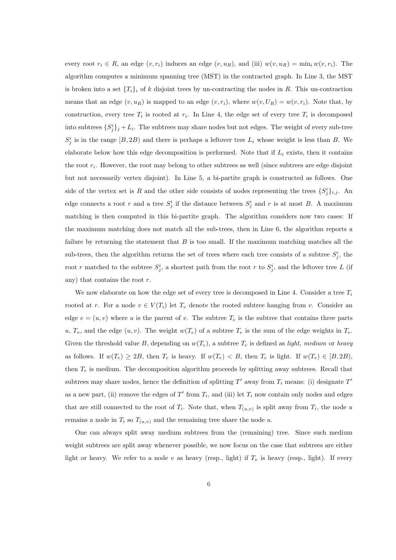every root  $r_i \in R$ , an edge  $(v, r_i)$  induces an edge  $(v, u_R)$ , and (iii)  $w(v, u_R) = \min_i w(v, r_i)$ . The algorithm computes a minimum spanning tree (MST) in the contracted graph. In Line 3, the MST is broken into a set  ${T_i}_i$  of k disjoint trees by un-contracting the nodes in R. This un-contraction means that an edge  $(v, u_R)$  is mapped to an edge  $(v, r_i)$ , where  $w(v, U_R) = w(v, r_i)$ . Note that, by construction, every tree  $T_i$  is rooted at  $r_i$ . In Line 4, the edge set of every tree  $T_i$  is decomposed into subtrees  $\{S_j^i\}_j + L_i$ . The subtrees may share nodes but not edges. The weight of every sub-tree  $S_j^i$  is in the range  $[B, 2B)$  and there is perhaps a leftover tree  $L_i$  whose weight is less than B. We elaborate below how this edge decomposition is performed. Note that if  $L_i$  exists, then it contains the root  $r_i$ . However, the root may belong to other subtrees as well (since subtrees are edge disjoint but not necessarily vertex disjoint). In Line 5, a bi-partite graph is constructed as follows. One side of the vertex set is R and the other side consists of nodes representing the trees  $\{S_j^i\}_{i,j}$ . An edge connects a root r and a tree  $S_j^i$  if the distance between  $S_j^i$  and r is at most B. A maximum matching is then computed in this bi-partite graph. The algorithm considers now two cases: If the maximum matching does not match all the sub-trees, then in Line 6, the algorithm reports a failure by returning the statement that  $B$  is too small. If the maximum matching matches all the sub-trees, then the algorithm returns the set of trees where each tree consists of a subtree  $S_j^i$ , the root r matched to the subtree  $S_j^i$ , a shortest path from the root r to  $S_j^i$ , and the leftover tree L (if any) that contains the root  $r$ .

We now elaborate on how the edge set of every tree is decomposed in Line 4. Consider a tree  $T_i$ rooted at r. For a node  $v \in V(T_i)$  let  $T_v$  denote the rooted subtree hanging from v. Consider an edge  $e = (u, v)$  where u is the parent of v. The subtree  $T_e$  is the subtree that contains three parts u,  $T_v$ , and the edge  $(u, v)$ . The weight  $w(T_e)$  of a subtree  $T_e$  is the sum of the edge weights in  $T_e$ . Given the threshold value B, depending on  $w(T_e)$ , a subtree  $T_e$  is defined as *light, medium* or *heavy* as follows. If  $w(T_e) \ge 2B$ , then  $T_e$  is heavy. If  $w(T_e) < B$ , then  $T_e$  is light. If  $w(T_e) \in [B, 2B)$ , then  $T_e$  is medium. The decomposition algorithm proceeds by splitting away subtrees. Recall that subtrees may share nodes, hence the definition of splitting  $T'$  away from  $T_i$  means: (i) designate  $T'$ as a new part, (ii) remove the edges of  $T'$  from  $T_i$ , and (iii) let  $T_i$  now contain only nodes and edges that are still connected to the root of  $T_i$ . Note that, when  $T_{(u,v)}$  is split away from  $T_i$ , the node u remains a node in  $T_i$  so  $T_{(u,v)}$  and the remaining tree share the node u.

One can always split away medium subtrees from the (remaining) tree. Since such medium weight subtrees are split away whenever possible, we now focus on the case that subtrees are either light or heavy. We refer to a node v as heavy (resp., light) if  $T_v$  is heavy (resp., light). If every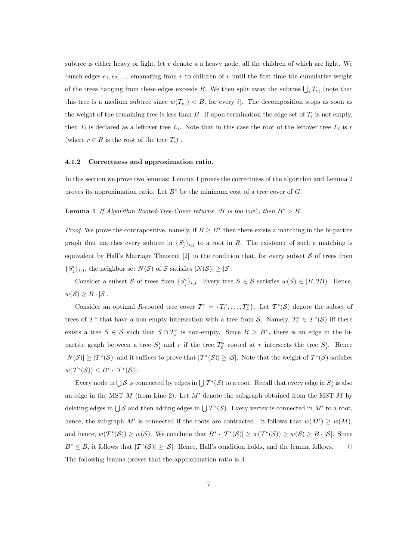subtree is either heavy or light, let  $v$  denote a a heavy node, all the children of which are light. We bunch edges  $e_1, e_2, \ldots$  emanating from v to children of v until the first time the cumulative weight of the trees hanging from these edges exceeds B. We then split away the subtree  $\bigcup_i T_{e_i}$  (note that this tree is a medium subtree since  $w(T_{e_i}) < B$ , for every i). The decomposition stops as soon as the weight of the remaining tree is less than  $B$ . If upon termination the edge set of  $T_i$  is not empty, then  $T_i$  is declared as a leftover tree  $L_i$ . Note that in this case the root of the leftover tree  $L_i$  is r (where  $r \in R$  is the root of the tree  $T_i$ ).

#### 4.1.2 Correctness and approximation ratio.

In this section we prove two lemmas: Lemma 1 proves the correctness of the algorithm and Lemma 2 proves its approximation ratio. Let  $B^*$  be the minimum cost of a tree cover of G.

Lemma 1 If Algorithm Rooted-Tree-Cover returns "B is too low", then  $B^* > B$ .

*Proof* We prove the contrapositive, namely, if  $B \geq B^*$  then there exists a matching in the bi-partite graph that matches every subtree in  $\{S_j^i\}_{i,j}$  to a root in R. The existence of such a matching is equivalent by Hall's Marriage Theorem  $[2]$  to the condition that, for every subset S of trees from  $\{S_j^i\}_{i,j}$ , the neighbor set  $N(S)$  of S satisfies  $|N(S)| \geq |S|$ .

Consider a subset S of trees from  $\{S_j^i\}_{i,j}$ . Every tree  $S \in \mathcal{S}$  satisfies  $w(S) \in [B, 2B)$ . Hence,  $w(S) \geq B \cdot |\mathcal{S}|.$ 

Consider an optimal R-rooted tree cover  $\mathcal{T}^* = \{T_1^*, \ldots, T_k^*\}$ . Let  $\mathcal{T}^*(\mathcal{S})$  denote the subset of trees of  $\mathcal{T}^*$  that have a non empty intersection with a tree from S. Namely,  $T_i^* \in \mathcal{T}^*(\mathcal{S})$  iff there exists a tree  $S \in \mathcal{S}$  such that  $S \cap T_i^*$  is non-empty. Since  $B \geq B^*$ , there is an edge in the bipartite graph between a tree  $S_j^i$  and r if the tree  $T_\ell^*$  rooted at r intersects the tree  $S_j^i$ . Hence  $|N(S)| \geq |T^*(S)|$  and it suffices to prove that  $|T^*(S)| \geq |S|$ . Note that the weight of  $T^*(S)$  satisfies  $w(\mathcal{T}^*(\mathcal{S})) \leq B^* \cdot |\mathcal{T}^*(\mathcal{S})|.$ 

Every node in  $\bigcup \mathcal{S}$  is connected by edges in  $\bigcup \mathcal{T}^*(\mathcal{S})$  to a root. Recall that every edge in  $S_j^i$  is also an edge in the MST  $M$  (from Line 2). Let  $M'$  denote the subgraph obtained from the MST  $M$  by deleting edges in  $\bigcup \mathcal{S}$  and then adding edges in  $\bigcup \mathcal{T}^*(\mathcal{S})$ . Every vertex is connected in  $M'$  to a root, hence, the subgraph M' is connected if the roots are contracted. It follows that  $w(M') \geq w(M)$ , and hence,  $w(\mathcal{T}^*(\mathcal{S})) \geq w(\mathcal{S})$ . We conclude that  $B^* \cdot |\mathcal{T}^*(\mathcal{S})| \geq w(\mathcal{T}^*(\mathcal{S})) \geq w(\mathcal{S}) \geq B \cdot |\mathcal{S}|$ . Since  $B^* \leq B$ , it follows that  $|T^*(S)| \geq |S|$ . Hence, Hall's condition holds, and the lemma follows.  $\Box$ The following lemma proves that the approximation ratio is 4.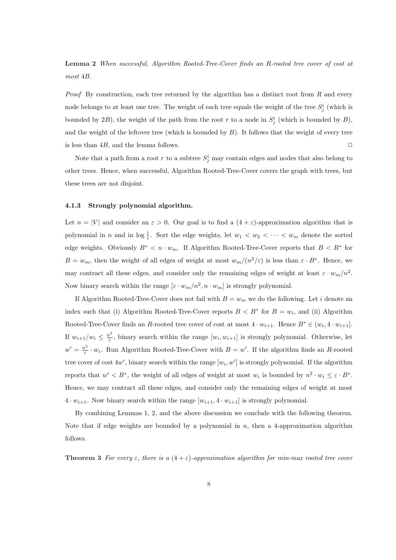Lemma 2 When successful, Algorithm Rooted-Tree-Cover finds an R-rooted tree cover of cost at most 4B.

*Proof* By construction, each tree returned by the algorithm has a distinct root from  $R$  and every node belongs to at least one tree. The weight of each tree equals the weight of the tree  $S_j^i$  (which is bounded by 2B), the weight of the path from the root r to a node in  $S_j^i$  (which is bounded by B), and the weight of the leftover tree (which is bounded by  $B$ ). It follows that the weight of every tree is less than  $4B$ , and the lemma follows.  $\Box$ 

Note that a path from a root r to a subtree  $S_j^i$  may contain edges and nodes that also belong to other trees. Hence, when successful, Algorithm Rooted-Tree-Cover covers the graph with trees, but these trees are not disjoint.

### 4.1.3 Strongly polynomial algorithm.

Let  $n = |V|$  and consider an  $\varepsilon > 0$ . Our goal is to find a  $(4 + \varepsilon)$ -approximation algorithm that is polynomial in n and in  $\log \frac{1}{\varepsilon}$ . Sort the edge weights, let  $w_1 < w_2 < \cdots < w_m$  denote the sorted edge weights. Obviously  $B^* < n \cdot w_m$ . If Algorithm Rooted-Tree-Cover reports that  $B < B^*$  for  $B = w_m$ , then the weight of all edges of weight at most  $w_m/(n^2/\varepsilon)$  is less than  $\varepsilon \cdot B^*$ . Hence, we may contract all these edges, and consider only the remaining edges of weight at least  $\varepsilon \cdot w_m/n^2$ . Now binary search within the range  $[\varepsilon \cdot w_m/n^2, n \cdot w_m]$  is strongly polynomial.

If Algorithm Rooted-Tree-Cover does not fail with  $B = w_m$  we do the following. Let i denote an index such that (i) Algorithm Rooted-Tree-Cover reports  $B < B^*$  for  $B = w_i$ , and (ii) Algorithm Rooted-Tree-Cover finds an R-rooted tree cover of cost at most  $4 \cdot w_{i+1}$ . Hence  $B^* \in (w_i, 4 \cdot w_{i+1}]$ . If  $w_{i+1}/w_i \leq \frac{n^2}{\varepsilon}$  $\frac{n^2}{\varepsilon}$ , binary search within the range  $[w_i, w_{i+1}]$  is strongly polynomial. Otherwise, let  $w' = \frac{n^2}{\epsilon}$  $\frac{n^2}{\varepsilon} \cdot w_i$ . Run Algorithm Rooted-Tree-Cover with  $B = w'$ . If the algorithm finds an R-rooted tree cover of cost  $4w'$ , binary search within the range  $[w_i, w']$  is strongly polynomial. If the algorithm reports that  $w' < B^*$ , the weight of all edges of weight at most  $w_i$  is bounded by  $n^2 \cdot w_i \leq \varepsilon \cdot B^*$ . Hence, we may contract all these edges, and consider only the remaining edges of weight at most  $4 \cdot w_{i+1}$ . Now binary search within the range  $[w_{i+1}, 4 \cdot w_{i+1}]$  is strongly polynomial.

By combining Lemmas 1, 2, and the above discussion we conclude with the following theorem. Note that if edge weights are bounded by a polynomial in  $n$ , then a 4-approximation algorithm follows.

**Theorem 3** For every  $\varepsilon$ , there is a  $(4 + \varepsilon)$ -approximation algorithm for min-max rooted tree cover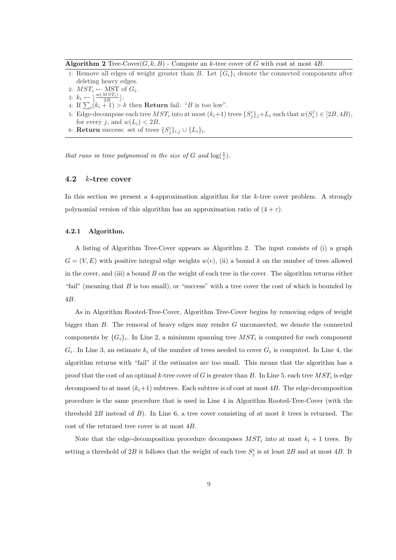Algorithm 2 Tree-Cover( $G, k, B$ ) - Compute an k-tree cover of G with cost at most 4B.

- 1: Remove all edges of weight greater than B. Let  ${G_i}_i$  denote the connected components after deleting heavy edges.
- 2:  $MST_i \leftarrow \text{MST}$  of  $G_i$ .
- 3:  $k_i \leftarrow \left\lfloor \frac{w(MST_i)}{2B} \right\rfloor$ .
- 3:  $\kappa_i \leftarrow \lfloor \frac{\overline{2B}}{2B} \rfloor$ .<br>4: If  $\sum_i (k_i + 1) > k$  then **Return** fail: "*B* is too low".
- 5: Edge-decompose each tree  $MST_i$  into at most  $(k_i+1)$  trees  $\{S_j^i\}_j + L_i$  such that  $w(S_i^j) \in [2B, 4B)$ , for every j, and  $w(L_i) < 2B$ .
- 6: **Return** success: set of trees  $\{S_j^i\}_{i,j} \cup \{L_i\}_i$ .

that runs in time polynomial in the size of G and  $\log(\frac{1}{\varepsilon})$ .

### 4.2 k-tree cover

In this section we present a 4-approximation algorithm for the  $k$ -tree cover problem. A strongly polynomial version of this algorithm has an approximation ratio of  $(4 + \varepsilon)$ .

#### 4.2.1 Algorithm.

A listing of Algorithm Tree-Cover appears as Algorithm 2. The input consists of (i) a graph  $G = (V, E)$  with positive integral edge weights  $w(e)$ , (ii) a bound k on the number of trees allowed in the cover, and (iii) a bound  $B$  on the weight of each tree in the cover. The algorithm returns either "fail" (meaning that  $B$  is too small), or "success" with a tree cover the cost of which is bounded by 4B.

As in Algorithm Rooted-Tree-Cover, Algorithm Tree-Cover begins by removing edges of weight bigger than  $B$ . The removal of heavy edges may render  $G$  unconnected; we denote the connected components by  $\{G_i\}_i$ . In Line 2, a minimum spanning tree  $MST_i$  is computed for each component  $G_i$ . In Line 3, an estimate  $k_i$  of the number of trees needed to cover  $G_i$  is computed. In Line 4, the algorithm returns with "fail" if the estimates are too small. This means that the algorithm has a proof that the cost of an optimal k-tree cover of G is greater than B. In Line 5, each tree  $MST_i$  is edge decomposed to at most  $(k_i+1)$  subtrees. Each subtree is of cost at most 4B. The edge-decomposition procedure is the same procedure that is used in Line 4 in Algorithm Rooted-Tree-Cover (with the threshold  $2B$  instead of B). In Line 6, a tree cover consisting of at most k trees is returned. The cost of the returned tree cover is at most 4B.

Note that the edge-decomposition procedure decomposes  $MST_i$  into at most  $k_i + 1$  trees. By setting a threshold of 2B it follows that the weight of each tree  $S_j^i$  is at least 2B and at most 4B. It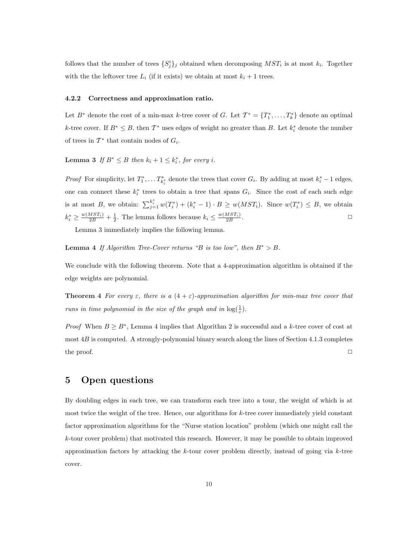follows that the number of trees  $\{S_j^i\}_j$  obtained when decomposing  $MST_i$  is at most  $k_i$ . Together with the the leftover tree  $L_i$  (if it exists) we obtain at most  $k_i + 1$  trees.

#### 4.2.2 Correctness and approximation ratio.

Let  $B^*$  denote the cost of a min-max k-tree cover of G. Let  $\mathcal{T}^* = \{T_1^*, \ldots, T_k^*\}$  denote an optimal k-tree cover. If  $B^* \leq B$ , then  $\mathcal{T}^*$  uses edges of weight no greater than B. Let  $k_i^*$  denote the number of trees in  $\mathcal{T}^*$  that contain nodes of  $G_i$ .

**Lemma 3** If  $B^* \leq B$  then  $k_i + 1 \leq k_i^*$ , for every i.

*Proof* For simplicity, let  $T_1^*, \ldots T_{k_i^*}^*$  denote the trees that cover  $G_i$ . By adding at most  $k_i^* - 1$  edges, one can connect these  $k_i^*$  trees to obtain a tree that spans  $G_i$ . Since the cost of each such edge is at most B, we obtain:  $\sum_{j=1}^{k_i^*} w(T_i^*) + (k_i^* - 1) \cdot B \geq w(MST_i)$ . Since  $w(T_i^*) \leq B$ , we obtain  $k_i^* \geq \frac{w(MST_i)}{2B} + \frac{1}{2}$ . The lemma follows because  $k_i \leq \frac{w(MST_i)}{2B}$ . ✷

Lemma 3 immediately implies the following lemma.

Lemma 4 If Algorithm Tree-Cover returns "B is too low", then  $B^* > B$ .

We conclude with the following theorem. Note that a 4-approximation algorithm is obtained if the edge weights are polynomial.

**Theorem 4** For every  $\varepsilon$ , there is a  $(4 + \varepsilon)$ -approximation algorithm for min-max tree cover that runs in time polynomial in the size of the graph and in  $\log(\frac{1}{\varepsilon})$ .

*Proof* When  $B \geq B^*$ , Lemma 4 implies that Algorithm 2 is successful and a k-tree cover of cost at most  $4B$  is computed. A strongly-polynomial binary search along the lines of Section 4.1.3 completes the proof.  $\Box$ 

## 5 Open questions

By doubling edges in each tree, we can transform each tree into a tour, the weight of which is at most twice the weight of the tree. Hence, our algorithms for  $k$ -tree cover immediately yield constant factor approximation algorithms for the "Nurse station location" problem (which one might call the k-tour cover problem) that motivated this research. However, it may be possible to obtain improved approximation factors by attacking the  $k$ -tour cover problem directly, instead of going via  $k$ -tree cover.